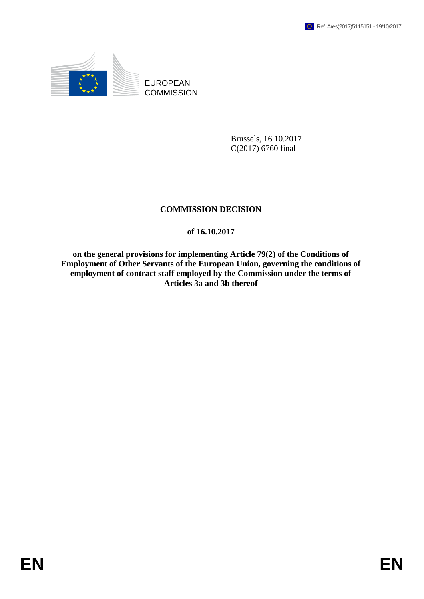

EUROPEAN **COMMISSION** 

> Brussels, 16.10.2017 C(2017) 6760 final

# **COMMISSION DECISION**

## **of 16.10.2017**

**on the general provisions for implementing Article 79(2) of the Conditions of Employment of Other Servants of the European Union, governing the conditions of employment of contract staff employed by the Commission under the terms of Articles 3a and 3b thereof**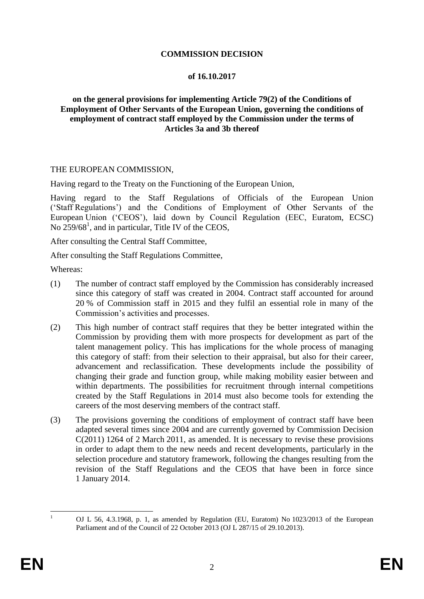### **COMMISSION DECISION**

### **of 16.10.2017**

### **on the general provisions for implementing Article 79(2) of the Conditions of Employment of Other Servants of the European Union, governing the conditions of employment of contract staff employed by the Commission under the terms of Articles 3a and 3b thereof**

### THE EUROPEAN COMMISSION,

Having regard to the Treaty on the Functioning of the European Union,

Having regard to the Staff Regulations of Officials of the European Union ('Staff Regulations') and the Conditions of Employment of Other Servants of the European Union ('CEOS'), laid down by Council Regulation (EEC, Euratom, ECSC) No  $259/68^1$ , and in particular, Title IV of the CEOS,

After consulting the Central Staff Committee,

After consulting the Staff Regulations Committee,

Whereas:

- (1) The number of contract staff employed by the Commission has considerably increased since this category of staff was created in 2004. Contract staff accounted for around 20 % of Commission staff in 2015 and they fulfil an essential role in many of the Commission's activities and processes.
- (2) This high number of contract staff requires that they be better integrated within the Commission by providing them with more prospects for development as part of the talent management policy. This has implications for the whole process of managing this category of staff: from their selection to their appraisal, but also for their career, advancement and reclassification. These developments include the possibility of changing their grade and function group, while making mobility easier between and within departments. The possibilities for recruitment through internal competitions created by the Staff Regulations in 2014 must also become tools for extending the careers of the most deserving members of the contract staff.
- (3) The provisions governing the conditions of employment of contract staff have been adapted several times since 2004 and are currently governed by Commission Decision C(2011) 1264 of 2 March 2011, as amended. It is necessary to revise these provisions in order to adapt them to the new needs and recent developments, particularly in the selection procedure and statutory framework, following the changes resulting from the revision of the Staff Regulations and the CEOS that have been in force since 1 January 2014.

 $\mathbf{1}$ 

<sup>1</sup> OJ L 56, 4.3.1968, p. 1, as amended by Regulation (EU, Euratom) No 1023/2013 of the European Parliament and of the Council of 22 October 2013 (OJ L 287/15 of 29.10.2013).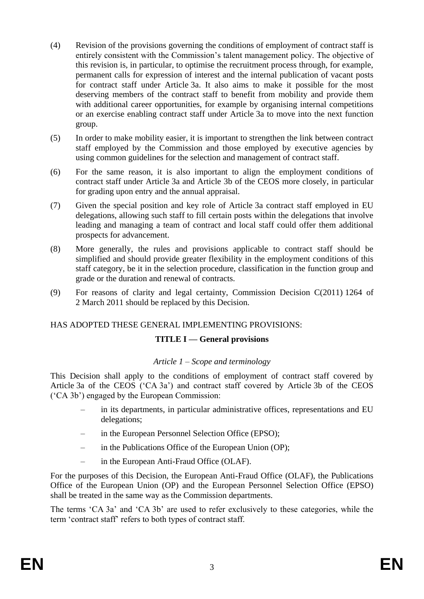- (4) Revision of the provisions governing the conditions of employment of contract staff is entirely consistent with the Commission's talent management policy. The objective of this revision is, in particular, to optimise the recruitment process through, for example, permanent calls for expression of interest and the internal publication of vacant posts for contract staff under Article 3a. It also aims to make it possible for the most deserving members of the contract staff to benefit from mobility and provide them with additional career opportunities, for example by organising internal competitions or an exercise enabling contract staff under Article 3a to move into the next function group.
- (5) In order to make mobility easier, it is important to strengthen the link between contract staff employed by the Commission and those employed by executive agencies by using common guidelines for the selection and management of contract staff.
- (6) For the same reason, it is also important to align the employment conditions of contract staff under Article 3a and Article 3b of the CEOS more closely, in particular for grading upon entry and the annual appraisal.
- (7) Given the special position and key role of Article 3a contract staff employed in EU delegations, allowing such staff to fill certain posts within the delegations that involve leading and managing a team of contract and local staff could offer them additional prospects for advancement.
- (8) More generally, the rules and provisions applicable to contract staff should be simplified and should provide greater flexibility in the employment conditions of this staff category, be it in the selection procedure, classification in the function group and grade or the duration and renewal of contracts.
- (9) For reasons of clarity and legal certainty, Commission Decision C(2011) 1264 of 2 March 2011 should be replaced by this Decision.

# HAS ADOPTED THESE GENERAL IMPLEMENTING PROVISIONS:

### **TITLE I — General provisions**

### *Article 1 – Scope and terminology*

This Decision shall apply to the conditions of employment of contract staff covered by Article 3a of the CEOS ('CA 3a') and contract staff covered by Article 3b of the CEOS ('CA 3b') engaged by the European Commission:

- in its departments, in particular administrative offices, representations and EU delegations;
- in the European Personnel Selection Office (EPSO);
- in the Publications Office of the European Union (OP);
- in the European Anti-Fraud Office (OLAF).

For the purposes of this Decision, the European Anti-Fraud Office (OLAF), the Publications Office of the European Union (OP) and the European Personnel Selection Office (EPSO) shall be treated in the same way as the Commission departments.

The terms 'CA 3a' and 'CA 3b' are used to refer exclusively to these categories, while the term 'contract staff' refers to both types of contract staff.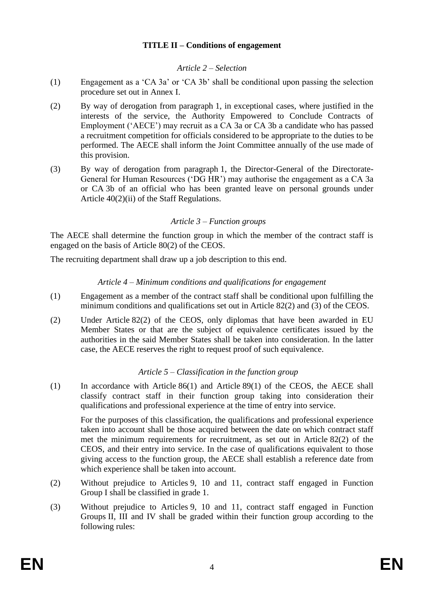### **TITLE II – Conditions of engagement**

### *Article 2 – Selection*

- (1) Engagement as a 'CA 3a' or 'CA 3b' shall be conditional upon passing the selection procedure set out in Annex I.
- (2) By way of derogation from paragraph 1, in exceptional cases, where justified in the interests of the service, the Authority Empowered to Conclude Contracts of Employment ('AECE') may recruit as a CA 3a or CA 3b a candidate who has passed a recruitment competition for officials considered to be appropriate to the duties to be performed. The AECE shall inform the Joint Committee annually of the use made of this provision.
- (3) By way of derogation from paragraph 1, the Director-General of the Directorate-General for Human Resources ('DG HR') may authorise the engagement as a CA 3a or CA 3b of an official who has been granted leave on personal grounds under Article 40(2)(ii) of the Staff Regulations.

### *Article 3 – Function groups*

The AECE shall determine the function group in which the member of the contract staff is engaged on the basis of Article 80(2) of the CEOS.

The recruiting department shall draw up a job description to this end.

### *Article 4 – Minimum conditions and qualifications for engagement*

- (1) Engagement as a member of the contract staff shall be conditional upon fulfilling the minimum conditions and qualifications set out in Article 82(2) and (3) of the CEOS.
- (2) Under Article 82(2) of the CEOS, only diplomas that have been awarded in EU Member States or that are the subject of equivalence certificates issued by the authorities in the said Member States shall be taken into consideration. In the latter case, the AECE reserves the right to request proof of such equivalence.

### *Article 5 – Classification in the function group*

(1) In accordance with Article 86(1) and Article 89(1) of the CEOS, the AECE shall classify contract staff in their function group taking into consideration their qualifications and professional experience at the time of entry into service.

For the purposes of this classification, the qualifications and professional experience taken into account shall be those acquired between the date on which contract staff met the minimum requirements for recruitment, as set out in Article 82(2) of the CEOS, and their entry into service. In the case of qualifications equivalent to those giving access to the function group, the AECE shall establish a reference date from which experience shall be taken into account.

- (2) Without prejudice to Articles 9, 10 and 11, contract staff engaged in Function Group I shall be classified in grade 1.
- (3) Without prejudice to Articles 9, 10 and 11, contract staff engaged in Function Groups II, III and IV shall be graded within their function group according to the following rules: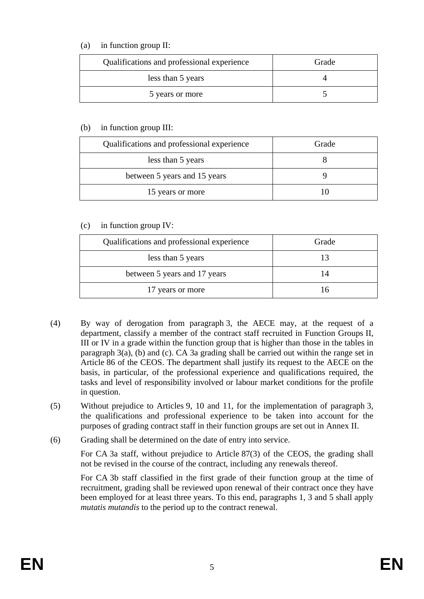### (a) in function group II:

| Qualifications and professional experience | Grade |
|--------------------------------------------|-------|
| less than 5 years                          |       |
| 5 years or more                            |       |

## (b) in function group III:

| Qualifications and professional experience | Grade |
|--------------------------------------------|-------|
| less than 5 years                          |       |
| between 5 years and 15 years               |       |
| 15 years or more                           |       |

# (c) in function group IV:

| Qualifications and professional experience | Grade |
|--------------------------------------------|-------|
| less than 5 years                          |       |
| between 5 years and 17 years               | 14    |
| 17 years or more                           | 16    |

- (4) By way of derogation from paragraph 3, the AECE may, at the request of a department, classify a member of the contract staff recruited in Function Groups II, III or IV in a grade within the function group that is higher than those in the tables in paragraph 3(a), (b) and (c). CA 3a grading shall be carried out within the range set in Article 86 of the CEOS. The department shall justify its request to the AECE on the basis, in particular, of the professional experience and qualifications required, the tasks and level of responsibility involved or labour market conditions for the profile in question.
- (5) Without prejudice to Articles 9, 10 and 11, for the implementation of paragraph 3, the qualifications and professional experience to be taken into account for the purposes of grading contract staff in their function groups are set out in Annex II.
- (6) Grading shall be determined on the date of entry into service.

For CA 3a staff, without prejudice to Article 87(3) of the CEOS, the grading shall not be revised in the course of the contract, including any renewals thereof.

For CA 3b staff classified in the first grade of their function group at the time of recruitment, grading shall be reviewed upon renewal of their contract once they have been employed for at least three years. To this end, paragraphs 1, 3 and 5 shall apply *mutatis mutandis* to the period up to the contract renewal.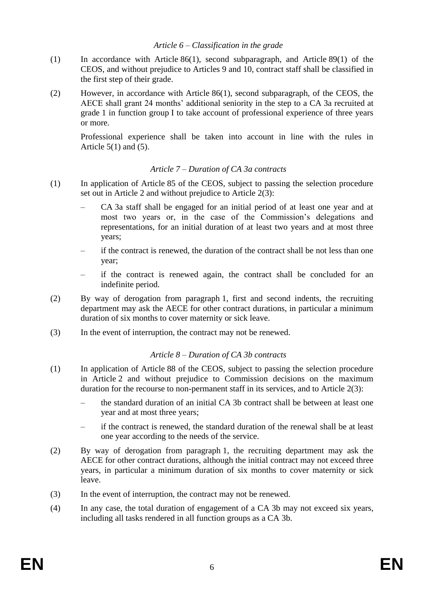### *Article 6 – Classification in the grade*

- (1) In accordance with Article 86(1), second subparagraph, and Article 89(1) of the CEOS, and without prejudice to Articles 9 and 10, contract staff shall be classified in the first step of their grade.
- (2) However, in accordance with Article 86(1), second subparagraph, of the CEOS, the AECE shall grant 24 months' additional seniority in the step to a CA 3a recruited at grade 1 in function group I to take account of professional experience of three years or more.

Professional experience shall be taken into account in line with the rules in Article  $5(1)$  and  $(5)$ .

### *Article 7 – Duration of CA 3a contracts*

- (1) In application of Article 85 of the CEOS, subject to passing the selection procedure set out in Article 2 and without prejudice to Article 2(3):
	- CA 3a staff shall be engaged for an initial period of at least one year and at most two years or, in the case of the Commission's delegations and representations, for an initial duration of at least two years and at most three years;
	- if the contract is renewed, the duration of the contract shall be not less than one year;
	- if the contract is renewed again, the contract shall be concluded for an indefinite period.
- (2) By way of derogation from paragraph 1, first and second indents, the recruiting department may ask the AECE for other contract durations, in particular a minimum duration of six months to cover maternity or sick leave.
- (3) In the event of interruption, the contract may not be renewed.

### *Article 8 – Duration of CA 3b contracts*

- (1) In application of Article 88 of the CEOS, subject to passing the selection procedure in Article 2 and without prejudice to Commission decisions on the maximum duration for the recourse to non-permanent staff in its services, and to Article 2(3):
	- the standard duration of an initial CA 3b contract shall be between at least one year and at most three years;
	- if the contract is renewed, the standard duration of the renewal shall be at least one year according to the needs of the service.
- (2) By way of derogation from paragraph 1, the recruiting department may ask the AECE for other contract durations, although the initial contract may not exceed three years, in particular a minimum duration of six months to cover maternity or sick leave.
- (3) In the event of interruption, the contract may not be renewed.
- (4) In any case, the total duration of engagement of a CA 3b may not exceed six years, including all tasks rendered in all function groups as a CA 3b.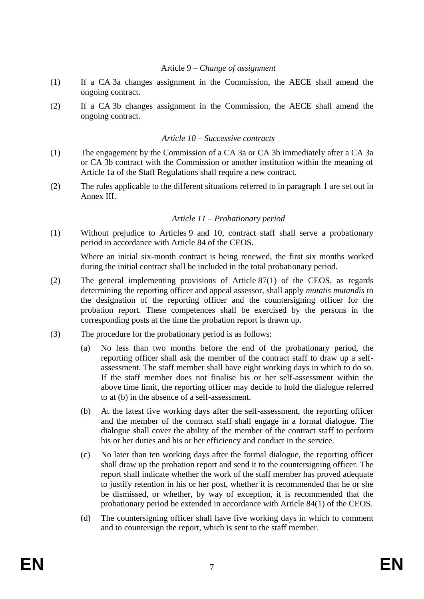### Article 9 *– Change of assignment*

- (1) If a CA 3a changes assignment in the Commission, the AECE shall amend the ongoing contract.
- (2) If a CA 3b changes assignment in the Commission, the AECE shall amend the ongoing contract.

#### *Article 10 – Successive contracts*

- (1) The engagement by the Commission of a CA 3a or CA 3b immediately after a CA 3a or CA 3b contract with the Commission or another institution within the meaning of Article 1a of the Staff Regulations shall require a new contract.
- (2) The rules applicable to the different situations referred to in paragraph 1 are set out in Annex III.

### *Article 11 – Probationary period*

(1) Without prejudice to Articles 9 and 10, contract staff shall serve a probationary period in accordance with Article 84 of the CEOS.

Where an initial six-month contract is being renewed, the first six months worked during the initial contract shall be included in the total probationary period.

- (2) The general implementing provisions of Article 87(1) of the CEOS, as regards determining the reporting officer and appeal assessor, shall apply *mutatis mutandis* to the designation of the reporting officer and the countersigning officer for the probation report. These competences shall be exercised by the persons in the corresponding posts at the time the probation report is drawn up.
- (3) The procedure for the probationary period is as follows:
	- (a) No less than two months before the end of the probationary period, the reporting officer shall ask the member of the contract staff to draw up a selfassessment. The staff member shall have eight working days in which to do so. If the staff member does not finalise his or her self-assessment within the above time limit, the reporting officer may decide to hold the dialogue referred to at (b) in the absence of a self-assessment.
	- (b) At the latest five working days after the self-assessment, the reporting officer and the member of the contract staff shall engage in a formal dialogue. The dialogue shall cover the ability of the member of the contract staff to perform his or her duties and his or her efficiency and conduct in the service.
	- (c) No later than ten working days after the formal dialogue, the reporting officer shall draw up the probation report and send it to the countersigning officer. The report shall indicate whether the work of the staff member has proved adequate to justify retention in his or her post, whether it is recommended that he or she be dismissed, or whether, by way of exception, it is recommended that the probationary period be extended in accordance with Article 84(1) of the CEOS.
	- (d) The countersigning officer shall have five working days in which to comment and to countersign the report, which is sent to the staff member.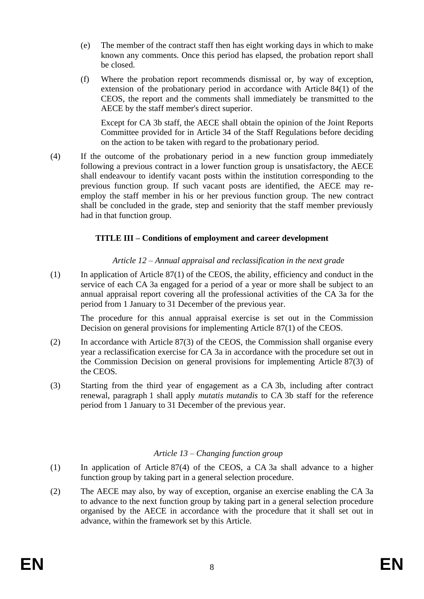- (e) The member of the contract staff then has eight working days in which to make known any comments. Once this period has elapsed, the probation report shall be closed.
- (f) Where the probation report recommends dismissal or, by way of exception, extension of the probationary period in accordance with Article 84(1) of the CEOS, the report and the comments shall immediately be transmitted to the AECE by the staff member's direct superior.

Except for CA 3b staff, the AECE shall obtain the opinion of the Joint Reports Committee provided for in Article 34 of the Staff Regulations before deciding on the action to be taken with regard to the probationary period.

(4) If the outcome of the probationary period in a new function group immediately following a previous contract in a lower function group is unsatisfactory, the AECE shall endeavour to identify vacant posts within the institution corresponding to the previous function group. If such vacant posts are identified, the AECE may reemploy the staff member in his or her previous function group. The new contract shall be concluded in the grade, step and seniority that the staff member previously had in that function group.

## **TITLE III – Conditions of employment and career development**

## *Article 12 – Annual appraisal and reclassification in the next grade*

(1) In application of Article 87(1) of the CEOS, the ability, efficiency and conduct in the service of each CA 3a engaged for a period of a year or more shall be subject to an annual appraisal report covering all the professional activities of the CA 3a for the period from 1 January to 31 December of the previous year.

The procedure for this annual appraisal exercise is set out in the Commission Decision on general provisions for implementing Article 87(1) of the CEOS.

- (2) In accordance with Article 87(3) of the CEOS, the Commission shall organise every year a reclassification exercise for CA 3a in accordance with the procedure set out in the Commission Decision on general provisions for implementing Article 87(3) of the CEOS.
- (3) Starting from the third year of engagement as a CA 3b, including after contract renewal, paragraph 1 shall apply *mutatis mutandis* to CA 3b staff for the reference period from 1 January to 31 December of the previous year.

### *Article 13 – Changing function group*

- (1) In application of Article 87(4) of the CEOS, a CA 3a shall advance to a higher function group by taking part in a general selection procedure.
- (2) The AECE may also, by way of exception, organise an exercise enabling the CA 3a to advance to the next function group by taking part in a general selection procedure organised by the AECE in accordance with the procedure that it shall set out in advance, within the framework set by this Article.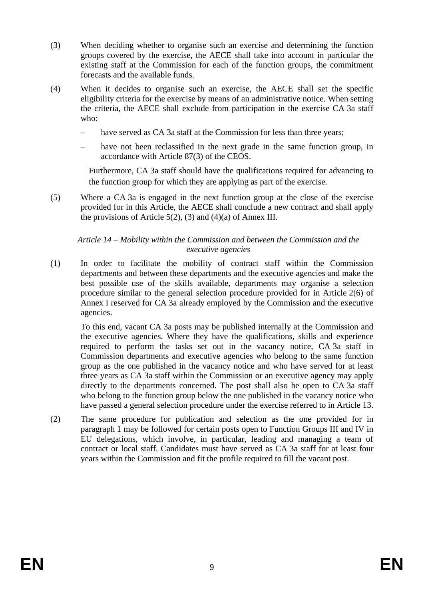- (3) When deciding whether to organise such an exercise and determining the function groups covered by the exercise, the AECE shall take into account in particular the existing staff at the Commission for each of the function groups, the commitment forecasts and the available funds.
- (4) When it decides to organise such an exercise, the AECE shall set the specific eligibility criteria for the exercise by means of an administrative notice. When setting the criteria, the AECE shall exclude from participation in the exercise CA 3a staff who:
	- have served as CA 3a staff at the Commission for less than three years;
	- have not been reclassified in the next grade in the same function group, in accordance with Article 87(3) of the CEOS.

Furthermore, CA 3a staff should have the qualifications required for advancing to the function group for which they are applying as part of the exercise.

(5) Where a CA 3a is engaged in the next function group at the close of the exercise provided for in this Article, the AECE shall conclude a new contract and shall apply the provisions of Article 5(2), (3) and (4)(a) of Annex III.

### *Article 14 – Mobility within the Commission and between the Commission and the executive agencies*

(1) In order to facilitate the mobility of contract staff within the Commission departments and between these departments and the executive agencies and make the best possible use of the skills available, departments may organise a selection procedure similar to the general selection procedure provided for in Article 2(6) of Annex I reserved for CA 3a already employed by the Commission and the executive agencies.

To this end, vacant CA 3a posts may be published internally at the Commission and the executive agencies. Where they have the qualifications, skills and experience required to perform the tasks set out in the vacancy notice, CA 3a staff in Commission departments and executive agencies who belong to the same function group as the one published in the vacancy notice and who have served for at least three years as CA 3a staff within the Commission or an executive agency may apply directly to the departments concerned. The post shall also be open to CA 3a staff who belong to the function group below the one published in the vacancy notice who have passed a general selection procedure under the exercise referred to in Article 13.

(2) The same procedure for publication and selection as the one provided for in paragraph 1 may be followed for certain posts open to Function Groups III and IV in EU delegations, which involve, in particular, leading and managing a team of contract or local staff. Candidates must have served as CA 3a staff for at least four years within the Commission and fit the profile required to fill the vacant post.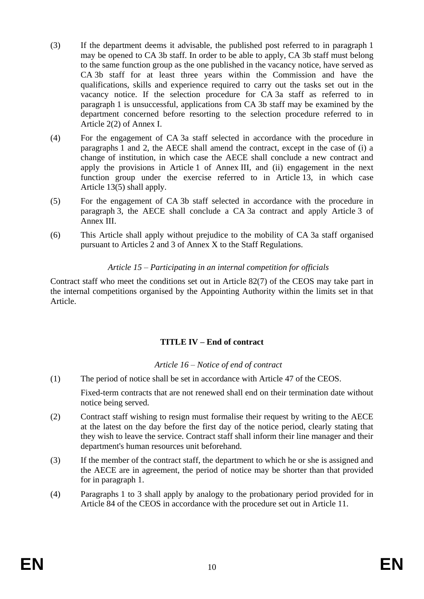- (3) If the department deems it advisable, the published post referred to in paragraph 1 may be opened to CA 3b staff. In order to be able to apply, CA 3b staff must belong to the same function group as the one published in the vacancy notice, have served as CA 3b staff for at least three years within the Commission and have the qualifications, skills and experience required to carry out the tasks set out in the vacancy notice. If the selection procedure for CA 3a staff as referred to in paragraph 1 is unsuccessful, applications from CA 3b staff may be examined by the department concerned before resorting to the selection procedure referred to in Article 2(2) of Annex I.
- (4) For the engagement of CA 3a staff selected in accordance with the procedure in paragraphs 1 and 2, the AECE shall amend the contract, except in the case of (i) a change of institution, in which case the AECE shall conclude a new contract and apply the provisions in Article 1 of Annex III, and (ii) engagement in the next function group under the exercise referred to in Article 13, in which case Article 13(5) shall apply.
- (5) For the engagement of CA 3b staff selected in accordance with the procedure in paragraph 3, the AECE shall conclude a CA 3a contract and apply Article 3 of Annex III.
- (6) This Article shall apply without prejudice to the mobility of CA 3a staff organised pursuant to Articles 2 and 3 of Annex X to the Staff Regulations.

## *Article 15 – Participating in an internal competition for officials*

Contract staff who meet the conditions set out in Article 82(7) of the CEOS may take part in the internal competitions organised by the Appointing Authority within the limits set in that Article.

## **TITLE IV – End of contract**

## *Article 16 – Notice of end of contract*

(1) The period of notice shall be set in accordance with Article 47 of the CEOS.

Fixed-term contracts that are not renewed shall end on their termination date without notice being served.

- (2) Contract staff wishing to resign must formalise their request by writing to the AECE at the latest on the day before the first day of the notice period, clearly stating that they wish to leave the service. Contract staff shall inform their line manager and their department's human resources unit beforehand.
- (3) If the member of the contract staff, the department to which he or she is assigned and the AECE are in agreement, the period of notice may be shorter than that provided for in paragraph 1.
- (4) Paragraphs 1 to 3 shall apply by analogy to the probationary period provided for in Article 84 of the CEOS in accordance with the procedure set out in Article 11.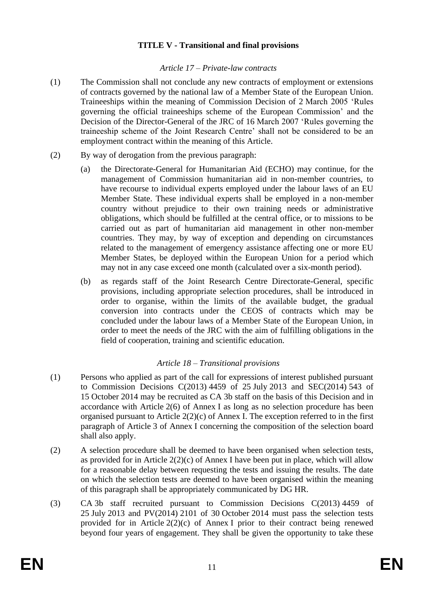### **TITLE V - Transitional and final provisions**

### *Article 17 – Private-law contracts*

- (1) The Commission shall not conclude any new contracts of employment or extensions of contracts governed by the national law of a Member State of the European Union. Traineeships within the meaning of Commission Decision of 2 March 2005 'Rules governing the official traineeships scheme of the European Commission' and the Decision of the Director-General of the JRC of 16 March 2007 'Rules governing the traineeship scheme of the Joint Research Centre' shall not be considered to be an employment contract within the meaning of this Article.
- (2) By way of derogation from the previous paragraph:
	- (a) the Directorate-General for Humanitarian Aid (ECHO) may continue, for the management of Commission humanitarian aid in non-member countries, to have recourse to individual experts employed under the labour laws of an EU Member State. These individual experts shall be employed in a non-member country without prejudice to their own training needs or administrative obligations, which should be fulfilled at the central office, or to missions to be carried out as part of humanitarian aid management in other non-member countries. They may, by way of exception and depending on circumstances related to the management of emergency assistance affecting one or more EU Member States, be deployed within the European Union for a period which may not in any case exceed one month (calculated over a six-month period).
	- (b) as regards staff of the Joint Research Centre Directorate-General, specific provisions, including appropriate selection procedures, shall be introduced in order to organise, within the limits of the available budget, the gradual conversion into contracts under the CEOS of contracts which may be concluded under the labour laws of a Member State of the European Union, in order to meet the needs of the JRC with the aim of fulfilling obligations in the field of cooperation, training and scientific education.

## *Article 18 – Transitional provisions*

- (1) Persons who applied as part of the call for expressions of interest published pursuant to Commission Decisions C(2013) 4459 of 25 July 2013 and SEC(2014) 543 of 15 October 2014 may be recruited as CA 3b staff on the basis of this Decision and in accordance with Article 2(6) of Annex I as long as no selection procedure has been organised pursuant to Article 2(2)(c) of Annex I. The exception referred to in the first paragraph of Article 3 of Annex I concerning the composition of the selection board shall also apply.
- (2) A selection procedure shall be deemed to have been organised when selection tests, as provided for in Article  $2(2)(c)$  of Annex I have been put in place, which will allow for a reasonable delay between requesting the tests and issuing the results. The date on which the selection tests are deemed to have been organised within the meaning of this paragraph shall be appropriately communicated by DG HR.
- (3) CA 3b staff recruited pursuant to Commission Decisions C(2013) 4459 of 25 July 2013 and PV(2014) 2101 of 30 October 2014 must pass the selection tests provided for in Article  $2(2)(c)$  of Annex I prior to their contract being renewed beyond four years of engagement. They shall be given the opportunity to take these